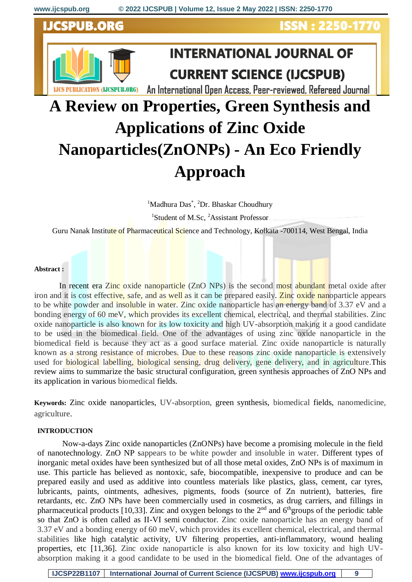### ORC



## **INTERNATIONAL JOURNAL OF CURRENT SCIENCE (IJCSPUB)**

ISSN : 2250-1770

An International Open Access, Peer-reviewed, Refereed Journal

# **A Review on Properties, Green Synthesis and Applications of Zinc Oxide Nanoparticles(ZnONPs) - An Eco Friendly Approach**

<sup>1</sup>Madhura Das<sup>\*</sup>, <sup>2</sup>Dr. Bhaskar Choudhury

<sup>1</sup>Student of M.Sc, <sup>2</sup>Assistant Professor

Guru Nanak Institute of Pharmaceutical Science and Technology, Kolkata -700114, West Bengal, India

#### **Abstract :**

In recent era Zinc oxide nanoparticle (ZnO NPs) is the second most abundant metal oxide after iron and it is cost effective, safe, and as well as it can be prepared easily. Zinc oxide nanoparticle appears to be white powder and insoluble in water. Zinc oxide nanoparticle has an energy band of 3.37 eV and a bonding energy of 60 meV, which provides its excellent chemical, electrical, and thermal stabilities. Zinc oxide nanoparticle is also known for its low toxicity and high UV-absorption making it a good candidate to be used in the biomedical field. One of the advantages of using zinc oxide nanoparticle in the biomedical field is because they act as a good surface material. Zinc oxide nanoparticle is naturally known as a strong resistance of microbes. Due to these reasons zinc oxide nanoparticle is extensively used for **biological labelling, biological sensing, drug** delivery, gene delivery, and in agriculture. This review aims to summarize the basic structural configuration, green synthesis approaches of ZnO NPs and its application in various biomedical fields.

**Keywords:** Zinc oxide nanoparticles, UV-absorption, green synthesis, biomedical fields, nanomedicine, agriculture.

#### **INTRODUCTION**

Now-a-days Zinc oxide nanoparticles (ZnONPs) have become a promising molecule in the field of nanotechnology. ZnO NP sappears to be white powder and insoluble in water. Different types of inorganic metal oxides have been synthesized but of all those metal oxides, ZnO NPs is of maximum in use. This particle has believed as nontoxic, safe, biocompatible, inexpensive to produce and can be prepared easily and used as additive into countless materials like plastics, glass, cement, car tyres, lubricants, paints, ointments, adhesives, pigments, foods (source of Zn nutrient), batteries, fire retardants, etc. ZnO NPs have been commercially used in cosmetics, as drug carriers, and fillings in pharmaceutical products [10,33]. Zinc and oxygen belongs to the  $2<sup>nd</sup>$  and  $6<sup>th</sup>$ groups of the periodic table so that ZnO is often called as II-VI semi conductor. Zinc oxide nanoparticle has an energy band of 3.37 eV and a bonding energy of 60 meV, which provides its excellent chemical, electrical, and thermal stabilities like high catalytic activity, UV filtering properties, anti-inflammatory, wound healing properties, etc [11,36]. Zinc oxide nanoparticle is also known for its low toxicity and high UVabsorption making it a good candidate to be used in the biomedical field. One of the advantages of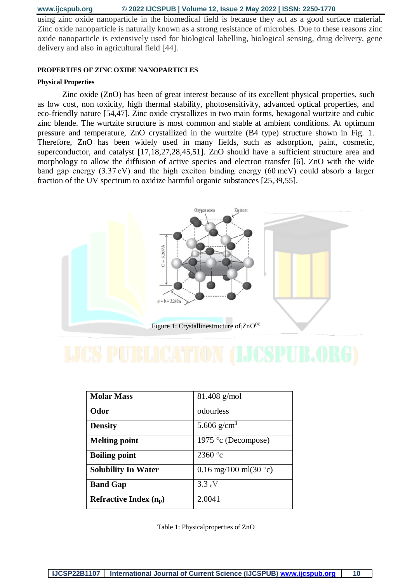using zinc oxide nanoparticle in the biomedical field is because they act as a good surface material. Zinc oxide nanoparticle is naturally known as a strong resistance of microbes. Due to these reasons zinc oxide nanoparticle is extensively used for biological labelling, biological sensing, drug delivery, gene delivery and also in agricultural field [44].

#### **PROPERTIES OF ZINC OXIDE NANOPARTICLES**

#### **Physical Properties**

Zinc oxide (ZnO) has been of great interest because of its excellent physical properties, such as low cost, non toxicity, high thermal stability, photosensitivity, advanced optical properties, and eco-friendly nature [54,47]. Zinc oxide crystallizes in two main forms, hexagonal wurtzite and cubic zinc blende. The wurtzite structure is most common and stable at ambient conditions. At optimum pressure and temperature, ZnO crystallized in the wurtzite (B4 type) structure shown in Fig. 1. Therefore, ZnO has been widely used in many fields, such as adsorption, paint, cosmetic, superconductor, and catalyst [17,18,27,28,45,51]. ZnO should have a sufficient structure area and morphology to allow the diffusion of active species and electron transfer [6]. ZnO with the wide band gap energy (3.37 eV) and the high exciton binding energy (60 meV) could absorb a larger fraction of the UV spectrum to oxidize harmful organic substances [25,39,55].



| <b>Molar Mass</b>          | 81.408 g/mol                    |
|----------------------------|---------------------------------|
| <b>Odor</b>                | odourless                       |
| <b>Density</b>             | 5.606 g/cm <sup>3</sup>         |
| <b>Melting point</b>       | 1975 ° c (Decompose)            |
| <b>Boiling point</b>       | 2360 $^{\circ}$ c               |
| <b>Solubility In Water</b> | 0.16 mg/100 ml(30 $^{\circ}$ c) |
| <b>Band Gap</b>            | $3.3\text{ eV}$                 |
| Refractive Index $(n_p)$   | 2.0041                          |

Table 1: Physicalproperties of ZnO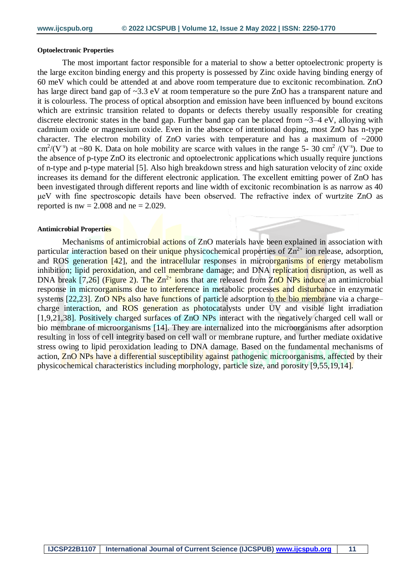#### **Optoelectronic Properties**

The most important factor responsible for a material to show a better optoelectronic property is the large exciton binding energy and this property is possessed by Zinc oxide having binding energy of 60 meV which could be attended at and above room temperature due to excitonic recombination. ZnO has large direct band gap of  $\sim$ 3.3 eV at room temperature so the pure ZnO has a transparent nature and it is colourless. The process of optical absorption and emission have been influenced by bound excitons which are extrinsic transition related to dopants or defects thereby usually responsible for creating discrete electronic states in the band gap. Further band gap can be placed from ~3–4 eV, alloying with cadmium oxide or magnesium oxide. Even in the absence of intentional doping, most ZnO has n-type character. The electron mobility of ZnO varies with temperature and has a maximum of  $\sim$ 2000 cm<sup>2</sup>/(V<sup>-s</sup>) at ~80 K. Data on hole mobility are scarce with values in the range 5- 30 cm<sup>2</sup> /(V<sup>-s</sup>). Due to the absence of p-type ZnO its electronic and optoelectronic applications which usually require junctions of n-type and p-type material [5]. Also high breakdown stress and high saturation velocity of zinc oxide increases its demand for the different electronic application. The excellent emitting power of ZnO has been investigated through different reports and line width of excitonic recombination is as narrow as 40 μeV with fine spectroscopic details have been observed. The refractive index of wurtzite ZnO as reported is  $nw = 2.008$  and  $ne = 2.029$ .

#### **Antimicrobial Properties**

Mechanisms of antimicrobial actions of ZnO materials have been explained in association with particular interaction based on their unique physicochemical properties of  $\text{Zn}^{2+}$  ion release, adsorption, and ROS generation [42], and the intracellular responses in microorganisms of energy metabolism inhibition; lipid peroxidation, and cell membrane damage; and DNA replication disruption, as well as DNA break [7,26] (Figure 2). The  $Zn^{2+}$  ions that are released from  $ZnO$  NPs induce an antimicrobial response in microorganisms due to interference in metabolic processes and disturbance in enzymatic systems [22,23]. ZnO NPs also have functions of particle adsorption to the bio membrane via a charge– charge interaction, and ROS generation as photocatalysts under UV and visible light irradiation [1,9,21,38]. Positively charged surfaces of ZnO NPs interact with the negatively charged cell wall or bio membrane of microorganisms [14]. They are internalized into the microorganisms after adsorption resulting in loss of cell integrity based on cell wall or membrane rupture, and further mediate oxidative stress owing to lipid peroxidation leading to DNA damage. Based on the fundamental mechanisms of action, ZnO NPs have a differential susceptibility against pathogenic microorganisms, affected by their physicochemical characteristics including morphology, particle size, and porosity [9,55,19,14].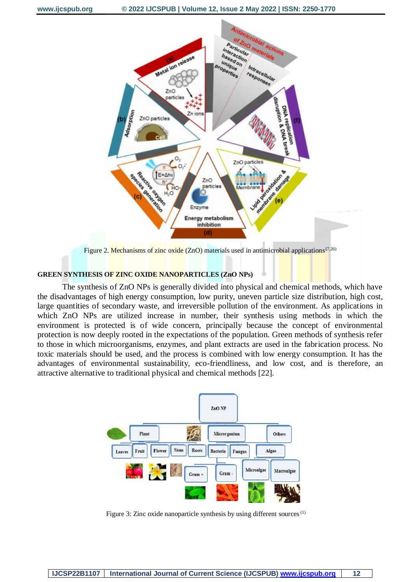

Figure 2. Mechanisms of zinc oxide (ZnO) materials used in antimicrobial applications<sup>{7,26}</sup>

#### **GREEN SYNTHESIS OF ZINC OXIDE NANOPARTICLES (ZnO NPs)**

The synthesis of ZnO NPs is generally divided into physical and chemical methods, which have the disadvantages of high energy consumption, low purity, uneven particle size distribution, high cost, large quantities of secondary waste, and irreversible pollution of the environment. As applications in which ZnO NPs are utilized increase in number, their synthesis using methods in which the environment is protected is of wide concern, principally because the concept of environmental protection is now deeply rooted in the expectations of the population. Green methods of synthesis refer to those in which microorganisms, enzymes, and plant extracts are used in the fabrication process. No toxic materials should be used, and the process is combined with low energy consumption. It has the advantages of environmental sustainability, eco-friendliness, and low cost, and is therefore, an attractive alternative to traditional physical and chemical methods [22].



Figure 3: Zinc oxide nanoparticle synthesis by using different sources<sup>(1)</sup>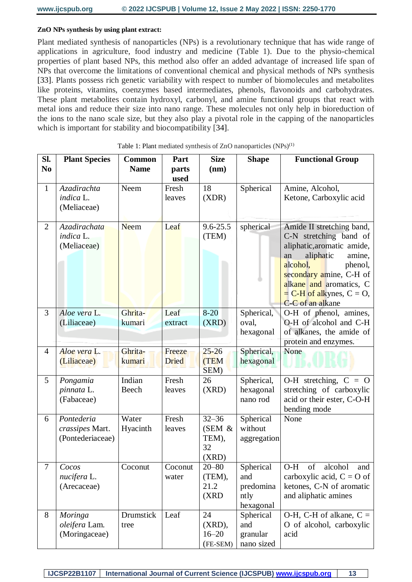#### **ZnO NPs synthesis by using plant extract:**

Plant mediated synthesis of nanoparticles (NPs) is a revolutionary technique that has wide range of applications in agriculture, food industry and medicine (Table 1). Due to the physio-chemical properties of plant based NPs, this method also offer an added advantage of increased life span of NPs that overcome the limitations of conventional chemical and physical methods of NPs synthesis [33]. Plants possess rich genetic variability with respect to number of biomolecules and metabolites like proteins, vitamins, coenzymes based intermediates, phenols, flavonoids and carbohydrates. These plant metabolites contain hydroxyl, carbonyl, and amine functional groups that react with metal ions and reduce their size into nano range. These molecules not only help in bioreduction of the ions to the nano scale size, but they also play a pivotal role in the capping of the nanoparticles which is important for stability and biocompatibility [34].

| SI.            | <b>Plant Species</b>                              | <b>Common</b>     | Part                   | <b>Size</b>                                 | <b>Shape</b>                                       | <b>Functional Group</b>                                                                                                                                                                                                                          |
|----------------|---------------------------------------------------|-------------------|------------------------|---------------------------------------------|----------------------------------------------------|--------------------------------------------------------------------------------------------------------------------------------------------------------------------------------------------------------------------------------------------------|
| N <sub>0</sub> |                                                   | <b>Name</b>       | parts<br>used          | (nm)                                        |                                                    |                                                                                                                                                                                                                                                  |
| $\mathbf{1}$   | Azadirachta<br>indica L.<br>(Meliaceae)           | Neem              | Fresh<br>leaves        | 18<br>(XDR)                                 | Spherical                                          | Amine, Alcohol,<br>Ketone, Carboxylic acid                                                                                                                                                                                                       |
| $\overline{2}$ | Azadirachata<br>indica L.<br>(Meliaceae)          | <b>Neem</b>       | Leaf                   | $9.6 - 25.5$<br>(TEM)                       | spherical                                          | Amide II stretching band,<br>C-N stretching band of<br>aliphatic, aromatic amide,<br>aliphatic<br>amine,<br>an<br>alcohol,<br>phenol,<br>secondary amine, C-H of<br>alkane and aromatics, C<br>$= C-H$ of alkynes, $C = O$ ,<br>C-C of an alkane |
| 3              | Aloe vera L.<br>(Liliaceae)                       | Ghrita-<br>kumari | Leaf<br>extract        | $8 - 20$<br>(XRD)                           | Spherical,<br>oval,<br>hexagonal                   | O-H of phenol, amines,<br>O-H of alcohol and C-H<br>of alkanes, the amide of<br>protein and enzymes.                                                                                                                                             |
| $\overline{4}$ | Aloe vera L.<br>(Liliaceae)                       | Ghrita-<br>kumari | Freeze<br><b>Dried</b> | $25 - 26$<br>(TEM<br>SEM)                   | Spherical,<br>hexagonal                            | None                                                                                                                                                                                                                                             |
| 5              | Pongamia<br>pinnata L.<br>(Fabaceae)              | Indian<br>Beech   | Fresh<br>leaves        | 26<br>(XRD)                                 | Spherical,<br>hexagonal<br>nano rod                | O-H stretching, $C = O$<br>stretching of carboxylic<br>acid or their ester, C-O-H<br>bending mode                                                                                                                                                |
| 6              | Pontederia<br>crassipes Mart.<br>(Pontederiaceae) | Water<br>Hyacinth | Fresh<br>leaves        | $32 - 36$<br>(SEM &<br>TEM),<br>32<br>(XRD) | Spherical<br>without<br>aggregation                | None                                                                                                                                                                                                                                             |
| $\tau$         | Cocos<br>nucifera L.<br>(Arecaceae)               | Coconut           | Coconut<br>water       | $20 - 80$<br>(TEM),<br>21.2<br>(XRD)        | Spherical<br>and<br>predomina<br>ntly<br>hexagonal | $O-H$<br>of<br>alcohol<br>and<br>carboxylic acid, $C = O$ of<br>ketones, C-N of aromatic<br>and aliphatic amines                                                                                                                                 |
| 8              | Moringa<br>oleifera Lam.<br>(Moringaceae)         | Drumstick<br>tree | Leaf                   | 24<br>$(XRD)$ ,<br>$16 - 20$<br>(FE-SEM)    | Spherical<br>and<br>granular<br>nano sized         | $O-H$ , C-H of alkane, C =<br>O of alcohol, carboxylic<br>acid                                                                                                                                                                                   |

Table 1: Plant mediated synthesis of ZnO nanoparticles (NPs)<sup>(1)</sup>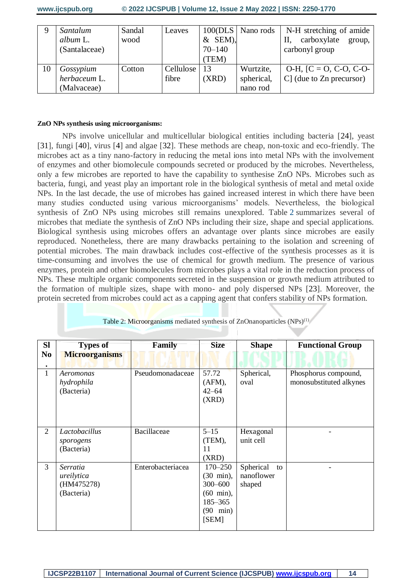| Ω  | Santalum<br>album L.<br>(Santalaceae)    | Sandal<br>wood | Leaves             | $&$ SEM),<br>$70 - 140$<br>(TEM) | 100(DLS   Nano rods                 | N-H stretching of amide<br>carboxylate<br>П.<br>group,<br>carbonyl group |
|----|------------------------------------------|----------------|--------------------|----------------------------------|-------------------------------------|--------------------------------------------------------------------------|
| 10 | Gossypium<br>herbaceum L.<br>(Malvaceae) | Cotton         | Cellulose<br>fibre | 13<br>(XRD)                      | Wurtzite,<br>spherical,<br>nano rod | $O-H$ , [C = O, C-O, C-O-<br>$C$ ] (due to $Zn$ precursor)               |

#### **ZnO NPs synthesis using microorganisms:**

NPs involve unicellular and multicellular biological entities including bacteria [24], yeast [31], fungi [40], virus [4] and algae [32]. These methods are cheap, non-toxic and eco-friendly. The microbes act as a tiny nano-factory in reducing the metal ions into metal NPs with the involvement of enzymes and other biomolecule compounds secreted or produced by the microbes. Nevertheless, only a few microbes are reported to have the capability to synthesise ZnO NPs. Microbes such as bacteria, fungi, and yeast play an important role in the biological synthesis of metal and metal oxide NPs. In the last decade, the use of microbes has gained increased interest in which there have been many studies conducted using various microorganisms' models. Nevertheless, the biological synthesis of ZnO NPs using microbes still remains unexplored. Table [2](https://jasbsci.biomedcentral.com/articles/10.1186/s40104-019-0368-z#Tab1) summarizes several of microbes that mediate the synthesis of ZnO NPs including their size, shape and special applications. Biological synthesis using microbes offers an advantage over plants since microbes are easily reproduced. Nonetheless, there are many drawbacks pertaining to the isolation and screening of potential microbes. The main drawback includes cost-effective of the synthesis processes as it is time-consuming and involves the use of chemical for growth medium. The presence of various enzymes, protein and other biomolecules from microbes plays a vital role in the reduction process of NPs. These multiple organic components secreted in the suspension or growth medium attributed to the formation of multiple sizes, shape with mono- and poly dispersed NPs [23]. Moreover, the protein secreted from microbes could act as a capping agent that confers stability of NPs formation.

| <b>SI</b>      | <b>Types of</b>                                    | Family            | <b>Size</b>                                                                                                         | <b>Shape</b>                            | <b>Functional Group</b>                         |  |  |
|----------------|----------------------------------------------------|-------------------|---------------------------------------------------------------------------------------------------------------------|-----------------------------------------|-------------------------------------------------|--|--|
| N <sub>0</sub> | <b>Microorganisms</b>                              |                   |                                                                                                                     |                                         |                                                 |  |  |
|                |                                                    |                   |                                                                                                                     |                                         |                                                 |  |  |
| $\mathbf{1}$   | Aeromonas<br>hydrophila<br>(Bacteria)              | Pseudomonadaceae  | 57.72<br>$(AFM)$ ,<br>$42 - 64$<br>(XRD)                                                                            | Spherical,<br>oval                      | Phosphorus compound,<br>monosubstituted alkynes |  |  |
| 2              | Lactobacillus<br>sporogens<br>(Bacteria)           | Bacillaceae       | $5 - 15$<br>(TEM),<br>11<br>(XRD)                                                                                   | Hexagonal<br>unit cell                  |                                                 |  |  |
| 3              | Serratia<br>ureilytica<br>(HM475278)<br>(Bacteria) | Enterobacteriacea | $170 - 250$<br>$(30 \text{ min})$ ,<br>$300 - 600$<br>$(60 \text{ min}),$<br>185-365<br>$(90 \text{ min})$<br>[SEM] | Spherical<br>to<br>nanoflower<br>shaped |                                                 |  |  |

Table 2: Microorganisms mediated synthesis of ZnOnanoparticles  $(NPs)^{(1)}$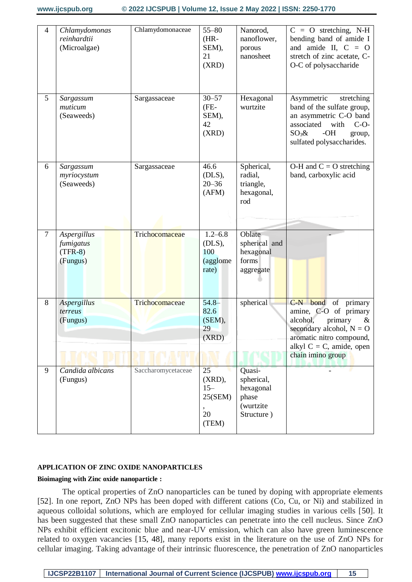| 4 | Chlamydomonas<br>reinhardtii<br>(Microalgae)      | Chlamydomonaceae   | $55 - 80$<br>$(HR-$<br>SEM),<br>21<br>(XRD)          | Nanorod,<br>nanoflower,<br>porous<br>nanosheet                        | $\overline{C}$ = O stretching, N-H<br>bending band of amide I<br>and a ide II, $C = O$<br>stretch of zinc acetate, C-<br>O-C of polysaccharide                                            |
|---|---------------------------------------------------|--------------------|------------------------------------------------------|-----------------------------------------------------------------------|-------------------------------------------------------------------------------------------------------------------------------------------------------------------------------------------|
| 5 | Sargassum<br>muticum<br>(Seaweeds)                | Sargassaceae       | $30 - 57$<br>(FE-<br>SEM),<br>42<br>(XRD)            | Hexagonal<br>wurtzite                                                 | Asymmetric<br>stretching<br>band of the sulfate group,<br>an asymmetric C-O band<br>associated<br>with<br>$C-O-$<br>$-OH$<br>$SO_3\&$<br>group,<br>sulfated polysaccharides.              |
| 6 | Sargassum<br>myriocystum<br>(Seaweeds)            | Sargassaceae       | 46.6<br>$(DLS)$ ,<br>$20 - 36$<br>(AFM)              | Spherical,<br>radial,<br>triangle,<br>hexagonal,<br>rod               | O-H and $C = O$ stretching<br>band, carboxylic acid                                                                                                                                       |
| 7 | Aspergillus<br>fumigatus<br>$(TFR-8)$<br>(Fungus) | Trichocomaceae     | $1.2 - 6.8$<br>$(DLS)$ ,<br>100<br>(agglome<br>rate) | Oblate<br>spherical and<br>hexagonal<br>forms<br>aggregate            |                                                                                                                                                                                           |
| 8 | <b>Aspergillus</b><br>terreus<br>(Fungus)         | Trichocomaceae     | $54.8 -$<br>82.6<br>(SEM),<br>29<br>(XRD)            | spherical                                                             | C-N bond of primary<br>amine, C-O of primary<br>alcohol,<br>primary<br>$\&$<br>secondary alcohol, $N = O$<br>aromatic nitro compound,<br>alkyl $C = C$ , amide, open<br>chain imino group |
| 9 | Candida albicans<br>(Fungus)                      | Saccharomycetaceae | 25<br>$(XRD)$ ,<br>$15 -$<br>25(SEM)<br>20<br>(TEM)  | Quasi-<br>spherical,<br>hexagonal<br>phase<br>(wurtzite<br>Structure) |                                                                                                                                                                                           |

#### **APPLICATION OF ZINC OXIDE NANOPARTICLES**

#### **Bioimaging with Zinc oxide nanoparticle :**

The optical properties of ZnO nanoparticles can be tuned by doping with appropriate elements [52]. In one report, ZnO NPs has been doped with different cations (Co, Cu, or Ni) and stabilized in aqueous colloidal solutions, which are employed for cellular imaging studies in various cells [50]. It has been suggested that these small ZnO nanoparticles can penetrate into the cell nucleus. Since ZnO NPs exhibit efficient excitonic blue and near-UV emission, which can also have green luminescence related to oxygen vacancies [15, 48], many reports exist in the literature on the use of ZnO NPs for cellular imaging. Taking advantage of their intrinsic fluorescence, the penetration of ZnO nanoparticles

**IJCSP22B1107 International Journal of Current Science (IJCSPUB) [www.ijcspub.org](http://www.ijcrt.org/) 15**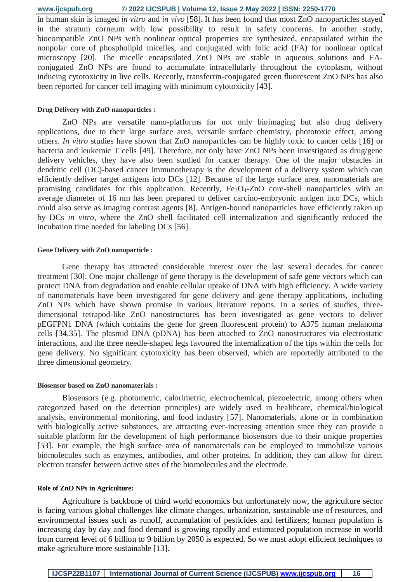in human skin is imaged *in vitro* and *in vivo* [58]. It has been found that most ZnO nanoparticles stayed in the stratum corneum with low possibility to result in safety concerns. In another study, biocompatible ZnO NPs with nonlinear optical properties are synthesized, encapsulated within the nonpolar core of phospholipid micelles, and conjugated with folic acid (FA) for nonlinear optical microscopy [20]. The micelle encapsulated ZnO NPs are stable in aqueous solutions and FAconjugated ZnO NPs are found to accumulate intracellularly throughout the cytoplasm, without inducing cytotoxicity in live cells. Recently, transferrin-conjugated green fluorescent ZnO NPs has also been reported for cancer cell imaging with minimum cytotoxicity [43].

#### **Drug Delivery with ZnO nanoparticles :**

ZnO NPs are versatile nano-platforms for not only bioimaging but also drug delivery applications, due to their large surface area, versatile surface chemistry, phototoxic effect, among others. *In vitro* studies have shown that ZnO nanoparticles can be highly toxic to cancer cells [16] or bacteria and leukemic T cells [49]. Therefore, not only have ZnO NPs been investigated as drug/gene delivery vehicles, they have also been studied for cancer therapy. One of the major obstacles in dendritic cell (DC)-based cancer immunotherapy is the development of a delivery system which can efficiently deliver target antigens into DCs [12]. Because of the large surface area, nanomaterials are promising candidates for this application. Recently, Fe<sub>3</sub>O<sub>4</sub>-ZnO core-shell nanoparticles with an average diameter of 16 nm has been prepared to deliver carcino-embryonic antigen into DCs, which could also serve as imaging contrast agents [8]. Antigen-bound nanoparticles have efficiently taken up by DCs *in vitro*, where the ZnO shell facilitated cell internalization and significantly reduced the incubation time needed for labeling DCs [56].

#### **Gene Delivery with ZnO nanoparticle :**

Gene therapy has attracted considerable interest over the last several decades for cancer treatment [30]. One major challenge of gene therapy is the development of safe gene vectors which can protect DNA from degradation and enable cellular uptake of DNA with high efficiency. A wide variety of nanomaterials have been investigated for gene delivery and gene therapy applications, including ZnO NPs which have shown promise in various literature reports. In a series of studies, threedimensional tetrapod-like ZnO nanostructures has been investigated as gene vectors to deliver pEGFPN1 DNA (which contains the gene for green fluorescent protein) to A375 human melanoma cells [34,35]. The plasmid DNA (pDNA) has been attached to ZnO nanostructures via electrostatic interactions, and the three needle-shaped legs favoured the internalization of the tips within the cells for gene delivery. No significant cytotoxicity has been observed, which are reportedly attributed to the three dimensional geometry.

#### **Biosensor based on ZnO nanomaterials :**

Biosensors (e.g. photometric, calorimetric, electrochemical, piezoelectric, among others when categorized based on the detection principles) are widely used in healthcare, chemical/biological analysis, environmental monitoring, and food industry [57]. Nanomaterials, alone or in combination with biologically active substances, are attracting ever-increasing attention since they can provide a suitable platform for the development of high performance biosensors due to their unique properties [53]. For example, the high surface area of nanomaterials can be employed to immobilize various biomolecules such as enzymes, antibodies, and other proteins. In addition, they can allow for direct electron transfer between active sites of the biomolecules and the electrode.

#### **Role of ZnO NPs in Agriculture:**

Agriculture is backbone of third world economics but unfortunately now, the agriculture sector is facing various global challenges like climate changes, urbanization, sustainable use of resources, and environmental issues such as runoff, accumulation of pesticides and fertilizers; human population is increasing day by day and food demand is growing rapidly and estimated population increase in world from current level of 6 billion to 9 billion by 2050 is expected. So we must adopt efficient techniques to make agriculture more sustainable [13].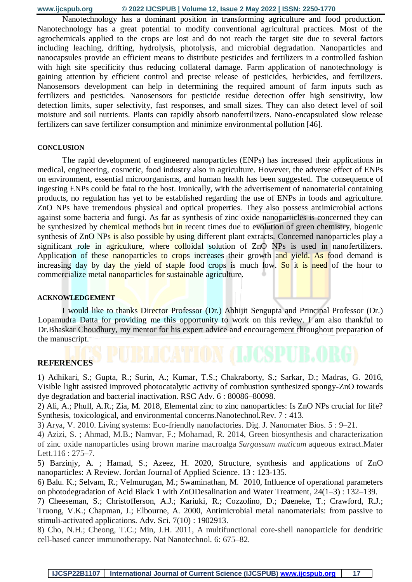Nanotechnology has a dominant position in transforming agriculture and food production. Nanotechnology has a great potential to modify conventional agricultural practices. Most of the agrochemicals applied to the crops are lost and do not reach the target site due to several factors including leaching, drifting, hydrolysis, photolysis, and microbial degradation. Nanoparticles and nanocapsules provide an efficient means to distribute pesticides and fertilizers in a controlled fashion with high site specificity thus reducing collateral damage. Farm application of nanotechnology is gaining attention by efficient control and precise release of pesticides, herbicides, and fertilizers. Nanosensors development can help in determining the required amount of farm inputs such as fertilizers and pesticides. Nanosensors for pesticide residue detection offer high sensitivity, low detection limits, super selectivity, fast responses, and small sizes. They can also detect level of soil moisture and soil nutrients. Plants can rapidly absorb nanofertilizers. Nano-encapsulated slow release fertilizers can save fertilizer consumption and minimize environmental pollution [46].

#### **CONCLUSION**

The rapid development of engineered nanoparticles (ENPs) has increased their applications in medical, engineering, cosmetic, food industry also in agriculture. However, the adverse effect of ENPs on environment, essential microorganisms, and human health has been suggested. The consequence of ingesting ENPs could be fatal to the host. Ironically, with the advertisement of nanomaterial containing products, no regulation has yet to be established regarding the use of ENPs in foods and agriculture. ZnO NPs have tremendous physical and optical properties. They also possess antimicrobial actions against some bacteria and fungi. As far as synthesis of zinc oxide nanoparticles is concerned they can be synthesized by chemical methods but in recent times due to evolution of green chemistry, biogenic synthesis of ZnO NPs is also possible by using different plant extracts. Concerned nanoparticles play a significant role in agriculture, where colloidal solution of ZnO NPs is used in nanofertilizers. Application of these nanoparticles to crops increases their growth and yield. As food demand is increasing day by day the yield of staple food crops is much low. So it is need of the hour to commercialize metal nanoparticles for sustainable agriculture.

#### **ACKNOWLEDGEMENT**

I would like to thanks Director Professor (Dr.) Abhijit Sengupta and Principal Professor (Dr.) Lopamudra Datta for providing me this opportunity to work on this review. I am also thankful to Dr.Bhaskar Choudhury, my mentor for his expert advice and encouragement throughout preparation of the manuscript.

### **REFERENCES**

1) Adhikari, S.; Gupta, R.; Surin, A.; Kumar, T.S.; Chakraborty, S.; Sarkar, D.; Madras, G. 2016, Visible light assisted improved photocatalytic activity of combustion synthesized spongy-ZnO towards dye degradation and bacterial inactivation. RSC Adv. 6 : 80086–80098.

2) Ali, A.; Phull, A.R.; Zia, M. 2018, Elemental zinc to zinc nanoparticles: Is ZnO NPs crucial for life? Synthesis, toxicological, and environmental concerns.Nanotechnol.Rev. 7 : 413.

3) Arya, V. 2010. Living systems: Eco-friendly nanofactories. Dig. J. Nanomater Bios. 5 : 9–21.

4) Azizi, S. ; Ahmad, M.B.; Namvar, F.; Mohamad, R. 2014, Green biosynthesis and characterization of zinc oxide nanoparticles using brown marine macroalga *Sargassum muticum* aqueous extract.Mater Lett.116 : 275–7.

5) Barzinjy, A. ; Hamad, S.; Azeez, H. 2020, Structure, synthesis and applications of ZnO nanoparticles: A Review. Jordan Journal of Applied Science. 13 : 123-135.

6) Balu. K.; Selvam, R.; Velmurugan, M.; Swaminathan, M. 2010, Influence of operational parameters on photodegradation of Acid Black 1 with ZnODesalination and Water Treatment, 24(1–3) : 132–139.

7) Cheeseman, S.; Christofferson, A.J.; Kariuki, R.; Cozzolino, D.; Daeneke, T.; Crawford, R.J.; Truong, V.K.; Chapman, J.; Elbourne, A. 2000, Antimicrobial metal nanomaterials: from passive to stimuli-activated applications. Adv. Sci. 7(10) : 1902913.

8) Cho, N.H.; Cheong, T.C.; Min, J.H. 2011, A multifunctional core-shell nanoparticle for dendritic cell-based cancer immunotherapy. Nat Nanotechnol. 6: 675–82.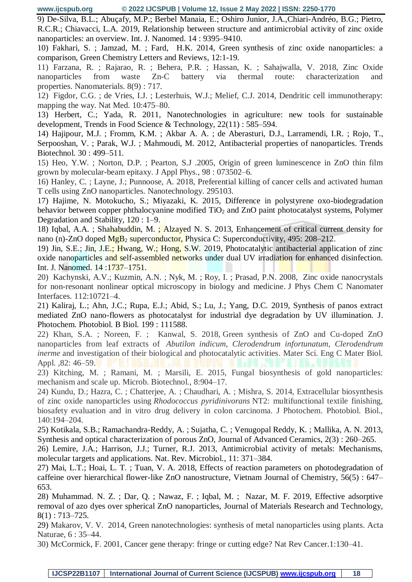9) De-Silva, B.L.; Abuçafy, M.P.; Berbel Manaia, E.; Oshiro Junior, J.A.,Chiari-Andréo, B.G.; Pietro, R.C.R.; Chiavacci, L.A. 2019, Relationship between structure and antimicrobial activity of zinc oxide nanoparticles: an overview. Int. J. Nanomed. 14 : 9395–9410.

10) Fakhari, S. ; Jamzad, M. ; Fard, H.K. 2014, Green synthesis of zinc oxide nanoparticles: a comparison, Green Chemistry Letters and Reviews, 12:1-19.

11) Farzana, R. ; Rajarao, R. ; Behera, P.R. ; Hassan, K. ; Sahajwalla, V. 2018, Zinc Oxide nanoparticles from waste Zn-C battery via thermal route: characterization and properties. Nanomaterials. 8(9) : 717.

12) Figdor, C.G. ; de Vries, I.J. ; Lesterhuis, W.J.; Melief, C.J. 2014, Dendritic cell immunotherapy: mapping the way. Nat Med. 10:475–80.

13) Herbert, C.; Yada, R. 2011, Nanotechnologies in agriculture: new tools for sustainable development, Trends in Food Science & Technology, 22(11) : 585–594.

14) Hajipour, M.J. ; Fromm, K.M. ; Akbar A. A. ; de Aberasturi, D.J., Larramendi, I.R. ; Rojo, T., Serpooshan, V. ; Parak, W.J. ; Mahmoudi, M. 2012, Antibacterial properties of nanoparticles. Trends Biotechnol. 30 : 499–511.

15) Heo, Y.W. ; Norton, D.P. ; Pearton, S.J .2005, Origin of green luminescence in ZnO thin film grown by molecular-beam epitaxy. J Appl Phys., 98 : 073502–6.

16) Hanley, C. ; Layne, J.; Punnoose, A. 2018, Preferential killing of cancer cells and activated human T cells using ZnO nanoparticles. Nanotechnology. 295103.

17) Hajime, N. Motokucho, S.; Miyazaki, K. 2015, Difference in polystyrene oxo-biodegradation behavior between copper phthalocyanine modified TiO<sub>2</sub> and ZnO paint photocatalyst systems, Polymer Degradation and Stability, 120 : 1–9.

18) Iqbal, A.A. ; Shahabuddin, M. ; Alzayed N. S. 2013, Enhancement of critical current density for nano (n)-ZnO doped  $MgB_2$  superconductor, Physica C: Superconductivity, 495: 208–212.

19) Jin, S.E.; Jin, J.E.; Hwang, W.; Hong, S.W. 2019, Photocatalytic antibacterial application of zinc oxide nanoparticles and self-assembled networks under dual UV irradiation for enhanced disinfection. Int. J. Nanomed. 14 :1737–1751.

20) Kachynski, A.V.; Kuzmin, A.N. ; Nyk, M. ; Roy, I. ; Prasad, P.N. 2008, Zinc oxide nanocrystals for non-resonant nonlinear optical microscopy in biology and medicine. J Phys Chem C Nanomater Interfaces. 112:10721–4.

21) Kaliraj, L.; Ahn, J.C.; Rupa, E.J.; Abid, S.; Lu, J.; Yang, D.C. 2019, Synthesis of panos extract mediated ZnO nano-flowers as photocatalyst for industrial dye degradation by UV illumination. J. Photochem. Photobiol. B Biol. 199 : 111588.

22) Khan, S.A. ; Noreen, F. ; Kanwal, S. 2018, Green synthesis of ZnO and Cu-doped ZnO nanoparticles from leaf extracts of *Abutilon indicum*, *Clerodendrum infortunatum, Clerodendrum inerme* and investigation of their biological and photocatalytic activities. Mater Sci. Eng C Mater Biol. Appl. ,82: 46–59.

23) Kitching, M. ; Ramani, M. ; Marsili, E. 2015, Fungal biosynthesis of gold nanoparticles: mechanism and scale up. Microb. Biotechnol., 8:904–17.

24) Kundu, D.; Hazra, C. ; Chatterjee, A. ; Chaudhari, A. ; Mishra, S. 2014, Extracellular biosynthesis of zinc oxide nanoparticles using *Rhodococcus pyridinivorans* NT2: multifunctional textile finishing, biosafety evaluation and in vitro drug delivery in colon carcinoma. J Photochem. Photobiol. Biol., 140:194–204.

25) Kotikala, S.B.; Ramachandra-Reddy, A. ; Sujatha, C. ; Venugopal Reddy, K. ; Mallika, A. N. 2013, Synthesis and optical characterization of porous ZnO, Journal of Advanced Ceramics, 2(3) : 260–265.

26) Lemire, J.A.; Harrison, J.J.; Turner, R.J. 2013, Antimicrobial activity of metals: Mechanisms, molecular targets and applications. Nat. Rev. Microbiol., 11: 371–384.

27) Mai, L.T.; Hoai, L. T. ; Tuan, V. A. 2018, Effects of reaction parameters on photodegradation of caffeine over hierarchical flower-like ZnO nanostructure, Vietnam Journal of Chemistry, 56(5) : 647– 653.

28) Muhammad. N. Z. ; Dar, Q. ; Nawaz, F. ; Iqbal, M. ; Nazar, M. F. 2019, Effective adsorptive removal of azo dyes over spherical ZnO nanoparticles, Journal of Materials Research and Technology,  $8(1)$ : 713–725.

29) Makarov, V. V. 2014, Green nanotechnologies: synthesis of metal nanoparticles using plants. Acta Naturae, 6 : 35–44.

30) McCormick, F. 2001, Cancer gene therapy: fringe or cutting edge? Nat Rev Cancer.1:130–41.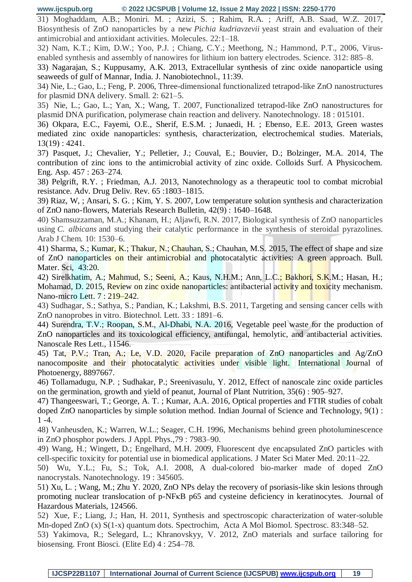31) Moghaddam, A.B.; Moniri. M. ; Azizi, S. ; Rahim, R.A. ; Ariff, A.B. Saad, W.Z. 2017, Biosynthesis of ZnO nanoparticles by a new *Pichia kudriavzevii* yeast strain and evaluation of their antimicrobial and antioxidant activities. Molecules. 22:1–18.

32) Nam, K.T.; Kim, D.W.; Yoo, P.J. ; Chiang, C.Y.; Meethong, N.; Hammond, P.T., 2006, Virusenabled synthesis and assembly of nanowires for lithium ion battery electrodes. Science. 312: 885–8.

33) Nagarajan, S.; Kuppusamy, A.K. 2013, Extracellular synthesis of zinc oxide nanoparticle using seaweeds of gulf of Mannar, India. J. Nanobiotechnol., 11:39.

34) Nie, L.; Gao, L.; Feng, P. 2006, Three-dimensional functionalized tetrapod-like ZnO nanostructures for plasmid DNA delivery. Small. 2: 621–5.

35) Nie, L.; Gao, L.; Yan, X.; Wang, T. 2007, Functionalized tetrapod-like ZnO nanostructures for plasmid DNA purification, polymerase chain reaction and delivery. Nanotechnology. 18 : 015101.

36) Okpara, E.C., Fayemi, O.E., Sherif, E.S.M. ; Junaedi, H. ; Ebenso, E.E. 2013, Green wastes mediated zinc oxide nanoparticles: synthesis, characterization, electrochemical studies. Materials, 13(19) : 4241.

37) Pasquet, J.; Chevalier, Y.; Pelletier, J.; Couval, E.; Bouvier, D.; Bolzinger, M.A. 2014, The contribution of zinc ions to the antimicrobial activity of zinc oxide. Colloids Surf. A Physicochem. Eng. Asp. 457 : 263–274.

38) Pelgrift, R.Y. ; Friedman, A.J. 2013, Nanotechnology as a therapeutic tool to combat microbial resistance. Adv. Drug Deliv. Rev. 65 :1803–1815.

39) Riaz, W, ; Ansari, S. G. ; Kim, Y. S. 2007, Low temperature solution synthesis and characterization of ZnO nano-flowers, Materials Research Bulletin, 42(9) : 1640–1648.

40) Shamsuzzaman, M.A.; Khanam, H.; Aljawfi, R.N. 2017, Biological synthesis of ZnO nanoparticles using *C. albicans* and studying their catalytic performance in the synthesis of steroidal pyrazolines. Arab J Chem. 10: 1530–6.

41) Sharma, S.; Kumar, K.; Thakur, N.; Chauhan, S.; Chauhan, M.S. 2015, The effect of shape and size of ZnO nanoparticles on their antimicrobial and photocatalytic activities: A green approach. Bull. Mater. Sci, 43:20.

42) Sirelkhatim, A.; Mahmud, S.; Seeni, A.; Kaus, N.H.M.; Ann, L.C.; Bakhori, S.K.M.; Hasan, H.; Mohamad, D. 2015, Review on zinc oxide nanoparticles: antibacterial activity and toxicity mechanism. Nano-micro Lett. 7 : 219–242.

43) Sudhagar, S.; Sathya, S.; Pandian, K.; Lakshmi, B.S. 2011, Targeting and sensing cancer cells with ZnO nanoprobes in vitro. Biotechnol. Lett. 33 : 1891–6.

44) Surendra, T.V.; Roopan, S.M., Al-Dhabi, N.A. 2016, Vegetable peel waste for the production of ZnO nanoparticles and its toxicological efficiency, antifungal, hemolytic, and antibacterial activities. Nanoscale Res Lett., 11546.

45) Tat, P.V.; Tran, A.; Le, V.D. 2020, Facile preparation of ZnO nanoparticles and Ag/ZnO nanocomposite and their photocatalytic activities under visible light. International Journal of Photoenergy, 8897667.

46) Tollamadugu, N.P. ; Sudhakar, P.; Sreenivasulu, Y. 2012, Effect of nanoscale zinc oxide particles on the germination, growth and yield of peanut, Journal of Plant Nutrition, 35(6) : 905–927.

47) Thangeeswari, T.; George, A. T. ; Kumar, A.A. 2016, Optical properties and FTIR studies of cobalt doped ZnO nanoparticles by simple solution method. Indian Journal of Science and Technology, 9(1) : 1 -4.

48) Vanheusden, K.; Warren, W.L.; Seager, C.H. 1996, Mechanisms behind green photoluminescence in ZnO phosphor powders. J Appl. Phys.,79 : 7983–90.

49) Wang, H.; Wingett, D.; Engelhard, M.H. 2009, Fluorescent dye encapsulated ZnO particles with cell-specific toxicity for potential use in biomedical applications. J Mater Sci Mater Med. 20:11–22.

50) Wu, Y.L.; Fu, S.; Tok, A.I. 2008, A dual-colored bio-marker made of doped ZnO nanocrystals. Nanotechnology. 19 : 345605.

51) Xu, L. ; Wang, M.; Zhu Y. 2020, ZnO NPs delay the recovery of psoriasis-like skin lesions through promoting nuclear translocation of p-NFκB p65 and cysteine deficiency in keratinocytes. Journal of Hazardous Materials, 124566.

52) Xue, F.; Liang, J.; Han, H. 2011, Synthesis and spectroscopic characterization of water-soluble Mn-doped ZnO (x) S(1-x) quantum dots. Spectrochim, Acta A Mol Biomol. Spectrosc. 83:348–52.

53) Yakimova, R.; Selegard, L.; Khranovskyy, V. 2012, ZnO materials and surface tailoring for biosensing. Front Biosci. (Elite Ed) 4 : 254–78.